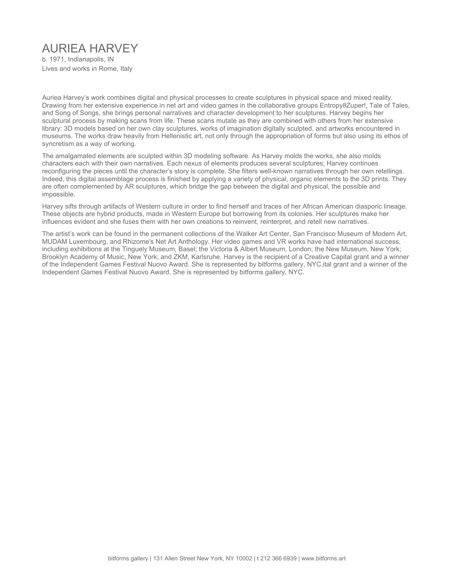# AURIEA HARVEY

b. 1971, Indianapolis, IN Lives and works in Rome, Italy

Auriea Harvey's work combines digital and physical processes to create sculptures in physical space and mixed reality. Drawing from her extensive experience in net art and video games in the collaborative groups Entropy8Zuper!, Tale of Tales, and Song of Songs, she brings personal narratives and character development to her sculptures. Harvey begins her sculptural process by making scans from life. These scans mutate as they are combined with others from her extensive library: 3D models based on her own clay sculptures, works of imagination digitally sculpted, and artworks encountered in museums. The works draw heavily from Hellenistic art, not only through the appropriation of forms but also using its ethos of syncretism as a way of working.

The amalgamated elements are sculpted within 3D modeling software. As Harvey molds the works, she also molds characters each with their own narratives. Each nexus of elements produces several sculptures; Harvey continues reconfiguring the pieces until the character's story is complete. She filters well-known narratives through her own retellings. Indeed, this digital assemblage process is finished by applying a variety of physical, organic elements to the 3D prints. They are often complemented by AR sculptures, which bridge the gap between the digital and physical, the possible and impossible.

Harvey sifts through artifacts of Western culture in order to find herself and traces of her African American diasporic lineage. These objects are hybrid products, made in Western Europe but borrowing from its colonies. Her sculptures make her influences evident and she fuses them with her own creations to reinvent, reinterpret, and retell new narratives.

The artist's work can be found in the permanent collections of the Walker Art Center, San Francisco Museum of Modern Art, MUDAM Luxembourg, and Rhizome's Net Art Anthology. Her video games and VR works have had international success, including exhibitions at the Tinguely Museum, Basel; the Victoria & Albert Museum, London; the New Museum, New York; Brooklyn Academy of Music, New York; and ZKM, Karlsruhe. Harvey is the recipient of a Creative Capital grant and a winner of the Independent Games Festival Nuovo Award. She is represented by bitforms gallery, NYC.ital grant and a winner of the Independent Games Festival Nuovo Award. She is represented by bitforms gallery, NYC.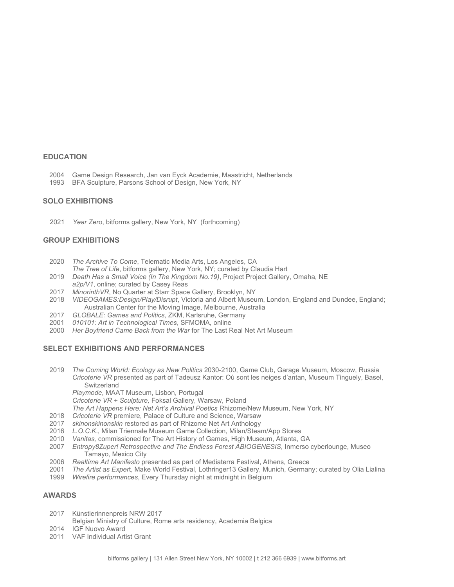#### **EDUCATION**

- 2004 Game Design Research, Jan van Eyck Academie, Maastricht, Netherlands
- 1993 BFA Sculpture, Parsons School of Design, New York, NY

#### **SOLO EXHIBITIONS**

2021 *Year Zero*, bitforms gallery, New York, NY (forthcoming)

# **GROUP EXHIBITIONS**

- 2020 *The Archive To Come*, Telematic Media Arts, Los Angeles, CA
- *The Tree of Life*, bitforms gallery, New York, NY; curated by Claudia Hart
- 2019 *Death Has a Small Voice (In The Kingdom No.19)*, Project Project Gallery, Omaha, NE *a2p/V1*, online; curated by Casey Reas
- 2017 *MinorinthVR*, No Quarter at Starr Space Gallery, Brooklyn, NY
- 2018 *VIDEOGAMES:Design/Play/Disrupt*, Victoria and Albert Museum, London, England and Dundee, England; Australian Center for the Moving Image, Melbourne, Australia
- 2017 *GLOBALE: Games and Politics*, ZKM, Karlsruhe, Germany
- 2001 *010101: Art in Technological Times*, SFMOMA, online
- 2000 *Her Boyfriend Came Back from the War* for The Last Real Net Art Museum

#### **SELECT EXHIBITIONS AND PERFORMANCES**

- 2019 *The Coming World: Ecology as New Politics* 2030-2100, Game Club, Garage Museum, Moscow, Russia *Cricoterie VR* presented as part of Tadeusz Kantor: Où sont les neiges d'antan, Museum Tinguely, Basel, **Switzerland** 
	- *Playmode*, MAAT Museum, Lisbon, Portugal

*Cricoterie VR + Sculpture,* Foksal Gallery, Warsaw, Poland

- *The Art Happens Here: Net Art's Archival Poetics* Rhizome/New Museum, New York, NY
- 2018 *Cricoterie VR* premiere, Palace of Culture and Science, Warsaw
- 2017 *skinonskinonskin* restored as part of Rhizome Net Art Anthology
- 2016 *L.O.C.K*., Milan Triennale Museum Game Collection, Milan/Steam/App Stores
- 2010 *Vanitas,* commissioned for The Art History of Games, High Museum, Atlanta, GA
- 2007 *Entropy8Zuper! Retrospective and The Endless Forest ABIOGENESIS*, Inmerso cyberlounge, Museo Tamayo, Mexico City
- 2006 *Realtime Art Manifesto* presented as part of Mediaterra Festival, Athens, Greece
- 2001 *The Artist as Exper*t, Make World Festival, Lothringer13 Gallery, Munich, Germany; curated by Olia Lialina
- 1999 *Wirefire performances*, Every Thursday night at midnight in Belgium

#### **AWARDS**

- 2017 Künstlerinnenpreis NRW 2017
	- Belgian Ministry of Culture, Rome arts residency, Academia Belgica
- 2014 IGF Nuovo Award
- 2011 VAF Individual Artist Grant